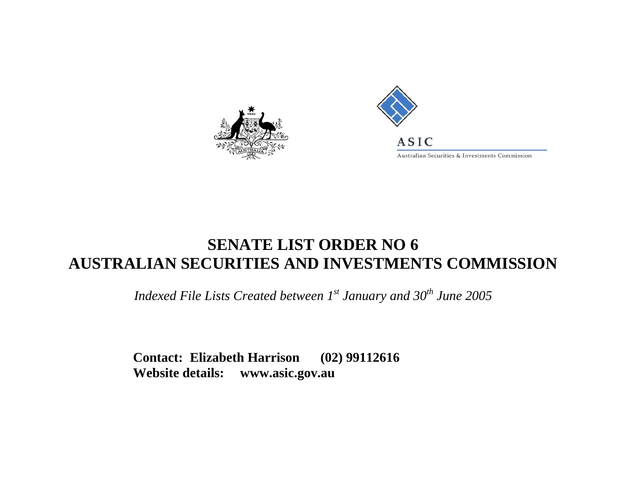



## **SENATE LIST ORDER NO 6 AUSTRALIAN SECURITIES AND INVESTMENTS COMMISSION**

*Indexed File Lists Created between 1st January and 30<sup>th</sup> June 2005* 

**Contact: Elizabeth Harrison (02) 99112616 Website details: www.asic.gov.au**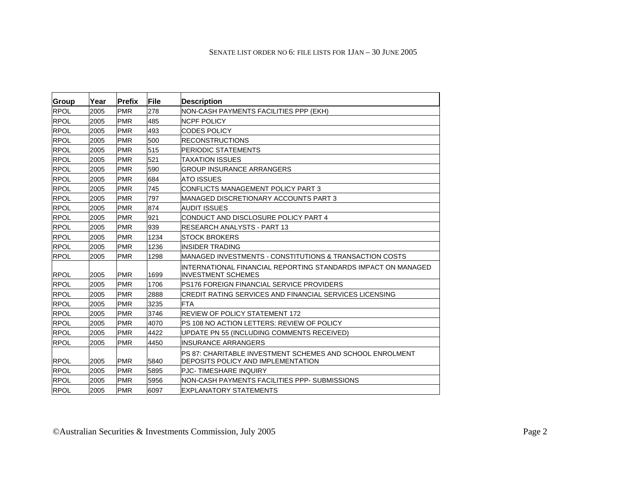| Group       | Year | Prefix     | File | <b>Description</b>                                                                                |
|-------------|------|------------|------|---------------------------------------------------------------------------------------------------|
| <b>RPOL</b> | 2005 | <b>PMR</b> | 278  | NON-CASH PAYMENTS FACILITIES PPP (EKH)                                                            |
| <b>RPOL</b> | 2005 | <b>PMR</b> | 485  | <b>NCPF POLICY</b>                                                                                |
| <b>RPOL</b> | 2005 | <b>PMR</b> | 493  | <b>CODES POLICY</b>                                                                               |
| <b>RPOL</b> | 2005 | <b>PMR</b> | 500  | <b>IRECONSTRUCTIONS</b>                                                                           |
| <b>RPOL</b> | 2005 | <b>PMR</b> | 515  | IPERIODIC STATEMENTS                                                                              |
| <b>RPOL</b> | 2005 | <b>PMR</b> | 521  | <b>TAXATION ISSUES</b>                                                                            |
| <b>RPOL</b> | 2005 | <b>PMR</b> | 590  | <b>GROUP INSURANCE ARRANGERS</b>                                                                  |
| <b>RPOL</b> | 2005 | <b>PMR</b> | 684  | <b>ATO ISSUES</b>                                                                                 |
| <b>RPOL</b> | 2005 | <b>PMR</b> | 745  | CONFLICTS MANAGEMENT POLICY PART 3                                                                |
| <b>RPOL</b> | 2005 | <b>PMR</b> | 797  | IMANAGED DISCRETIONARY ACCOUNTS PART 3                                                            |
| <b>RPOL</b> | 2005 | <b>PMR</b> | 874  | <b>AUDIT ISSUES</b>                                                                               |
| <b>RPOL</b> | 2005 | <b>PMR</b> | 921  | CONDUCT AND DISCLOSURE POLICY PART 4                                                              |
| <b>RPOL</b> | 2005 | <b>PMR</b> | 939  | IRESEARCH ANALYSTS - PART 13                                                                      |
| <b>RPOL</b> | 2005 | <b>PMR</b> | 1234 | <b>STOCK BROKERS</b>                                                                              |
| <b>RPOL</b> | 2005 | <b>PMR</b> | 1236 | <b>INSIDER TRADING</b>                                                                            |
| <b>RPOL</b> | 2005 | <b>PMR</b> | 1298 | MANAGED INVESTMENTS - CONSTITUTIONS & TRANSACTION COSTS                                           |
| <b>RPOL</b> | 2005 | <b>PMR</b> | 1699 | INTERNATIONAL FINANCIAL REPORTING STANDARDS IMPACT ON MANAGED<br><b>INVESTMENT SCHEMES</b>        |
| <b>RPOL</b> | 2005 | <b>PMR</b> | 1706 | PS176 FOREIGN FINANCIAL SERVICE PROVIDERS                                                         |
| <b>RPOL</b> | 2005 | <b>PMR</b> | 2888 | CREDIT RATING SERVICES AND FINANCIAL SERVICES LICENSING                                           |
| <b>RPOL</b> | 2005 | <b>PMR</b> | 3235 | <b>FTA</b>                                                                                        |
| <b>RPOL</b> | 2005 | <b>PMR</b> | 3746 | <b>REVIEW OF POLICY STATEMENT 172</b>                                                             |
| <b>RPOL</b> | 2005 | <b>PMR</b> | 4070 | PS 108 NO ACTION LETTERS: REVIEW OF POLICY                                                        |
| <b>RPOL</b> | 2005 | <b>PMR</b> | 4422 | UPDATE PN 55 (INCLUDING COMMENTS RECEIVED)                                                        |
| <b>RPOL</b> | 2005 | <b>PMR</b> | 4450 | INSURANCE ARRANGERS                                                                               |
| <b>RPOL</b> | 2005 | <b>PMR</b> | 5840 | IPS 87: CHARITABLE INVESTMENT SCHEMES AND SCHOOL ENROLMENT<br>IDEPOSITS POLICY AND IMPLEMENTATION |
| <b>RPOL</b> | 2005 | <b>PMR</b> | 5895 | <b>PJC-TIMESHARE INQUIRY</b>                                                                      |
| <b>RPOL</b> | 2005 | <b>PMR</b> | 5956 | NON-CASH PAYMENTS FACILITIES PPP- SUBMISSIONS                                                     |
| <b>RPOL</b> | 2005 | <b>PMR</b> | 6097 | EXPLANATORY STATEMENTS                                                                            |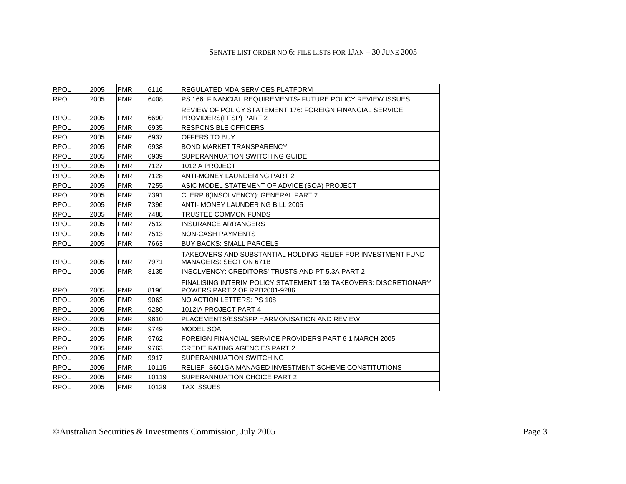## SENATE LIST ORDER NO 6: FILE LISTS FOR 1JAN – 30 JUNE 2005

| <b>RPOL</b> | 2005 | <b>PMR</b> | 6116  | <b>IREGULATED MDA SERVICES PLATFORM</b>                                                           |
|-------------|------|------------|-------|---------------------------------------------------------------------------------------------------|
| <b>RPOL</b> | 2005 | <b>PMR</b> | 6408  | IPS 166: FINANCIAL REQUIREMENTS- FUTURE POLICY REVIEW ISSUES                                      |
| <b>RPOL</b> | 2005 | <b>PMR</b> | 6690  | IREVIEW OF POLICY STATEMENT 176: FOREIGN FINANCIAL SERVICE<br><b>PROVIDERS(FFSP) PART 2</b>       |
| <b>RPOL</b> | 2005 | <b>PMR</b> | 6935  | <b>IRESPONSIBLE OFFICERS</b>                                                                      |
| <b>RPOL</b> | 2005 | <b>PMR</b> | 6937  | <b>IOFFERS TO BUY</b>                                                                             |
| <b>RPOL</b> | 2005 | <b>PMR</b> | 6938  | <b>IBOND MARKET TRANSPARENCY</b>                                                                  |
| <b>RPOL</b> | 2005 | <b>PMR</b> | 6939  | <b>SUPERANNUATION SWITCHING GUIDE</b>                                                             |
| <b>RPOL</b> | 2005 | <b>PMR</b> | 7127  | l1012IA PROJECT                                                                                   |
| <b>RPOL</b> | 2005 | <b>PMR</b> | 7128  | IANTI-MONEY LAUNDERING PART 2                                                                     |
| <b>RPOL</b> | 2005 | <b>PMR</b> | 7255  | IASIC MODEL STATEMENT OF ADVICE (SOA) PROJECT                                                     |
| <b>RPOL</b> | 2005 | <b>PMR</b> | 7391  | CLERP 8(INSOLVENCY): GENERAL PART 2                                                               |
| <b>RPOL</b> | 2005 | <b>PMR</b> | 7396  | ANTI- MONEY LAUNDERING BILL 2005                                                                  |
| <b>RPOL</b> | 2005 | <b>PMR</b> | 7488  | ITRUSTEE COMMON FUNDS                                                                             |
| <b>RPOL</b> | 2005 | <b>PMR</b> | 7512  | INSURANCE ARRANGERS                                                                               |
| <b>RPOL</b> | 2005 | <b>PMR</b> | 7513  | INON-CASH PAYMENTS                                                                                |
| <b>RPOL</b> | 2005 | <b>PMR</b> | 7663  | <b>IBUY BACKS: SMALL PARCELS</b>                                                                  |
| <b>RPOL</b> | 2005 | <b>PMR</b> | 7971  | ITAKEOVERS AND SUBSTANTIAL HOLDING RELIEF FOR INVESTMENT FUND<br><b>IMANAGERS: SECTION 671B</b>   |
| <b>RPOL</b> | 2005 | <b>PMR</b> | 8135  | IINSOLVENCY: CREDITORS' TRUSTS AND PT 5.3A PART 2                                                 |
| <b>RPOL</b> | 2005 | <b>PMR</b> | 8196  | FINALISING INTERIM POLICY STATEMENT 159 TAKEOVERS: DISCRETIONARY<br>POWERS PART 2 OF RPB2001-9286 |
| <b>RPOL</b> | 2005 | <b>PMR</b> | 9063  | INO ACTION LETTERS: PS 108                                                                        |
| <b>RPOL</b> | 2005 | <b>PMR</b> | 9280  | 1012IA PROJECT PART 4                                                                             |
| <b>RPOL</b> | 2005 | <b>PMR</b> | 9610  | IPLACEMENTS/ESS/SPP HARMONISATION AND REVIEW                                                      |
| <b>RPOL</b> | 2005 | <b>PMR</b> | 9749  | <b>MODEL SOA</b>                                                                                  |
| <b>RPOL</b> | 2005 | <b>PMR</b> | 9762  | FOREIGN FINANCIAL SERVICE PROVIDERS PART 6 1 MARCH 2005                                           |
| <b>RPOL</b> | 2005 | <b>PMR</b> | 9763  | ICREDIT RATING AGENCIES PART 2                                                                    |
| <b>RPOL</b> | 2005 | <b>PMR</b> | 9917  | ISUPERANNUATION SWITCHING                                                                         |
| <b>RPOL</b> | 2005 | <b>PMR</b> | 10115 | IRELIEF- S601GA:MANAGED INVESTMENT SCHEME CONSTITUTIONS                                           |
| <b>RPOL</b> | 2005 | <b>PMR</b> | 10119 | <b>ISUPERANNUATION CHOICE PART 2</b>                                                              |
| <b>RPOL</b> | 2005 | <b>PMR</b> | 10129 | <b>TAX ISSUES</b>                                                                                 |